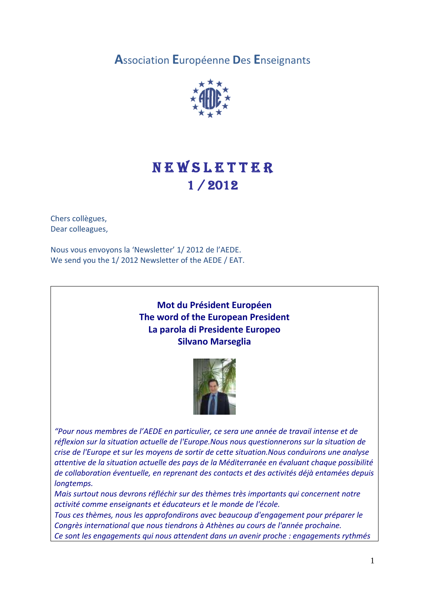**A**ssociation **E**uropéenne **D**es **E**nseignants



# **NEWSLETTER** 1 / 2012

Chers collègues, Dear colleagues,

Nous vous envoyons la 'Newsletter' 1/ 2012 de l'AEDE. We send you the 1/ 2012 Newsletter of the AEDE / EAT.

# **Mot du Président Européen The word of the European President La parola di Presidente Europeo Silvano Marseglia**



*"Pour nous membres de l'AEDE en particulier, ce sera une année de travail intense et de réflexion sur la situation actuelle de l'Europe.Nous nous questionnerons sur la situation de crise de l'Europe et sur les moyens de sortir de cette situation.Nous conduirons une analyse attentive de la situation actuelle des pays de la Méditerranée en évaluant chaque possibilité de collaboration éventuelle, en reprenant des contacts et des activités déjà entamées depuis longtemps.*

*Mais surtout nous devrons réfléchir sur des thèmes très importants qui concernent notre activité comme enseignants et éducateurs et le monde de l'école.*

*Tous ces thèmes, nous les approfondirons avec beaucoup d'engagement pour préparer le Congrès international que nous tiendrons à Athènes au cours de l'année prochaine. Ce sont les engagements qui nous attendent dans un avenir proche : engagements rythmés*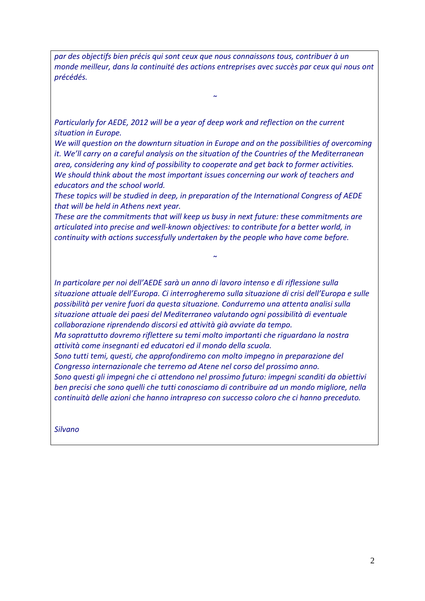*par des objectifs bien précis qui sont ceux que nous connaissons tous, contribuer à un monde meilleur, dans la continuité des actions entreprises avec succès par ceux qui nous ont précédés.*

*῀*

*Particularly for AEDE, 2012 will be a year of deep work and reflection on the current situation in Europe.*

*We will question on the downturn situation in Europe and on the possibilities of overcoming it. We'll carry on a careful analysis on the situation of the Countries of the Mediterranean area, considering any kind of possibility to cooperate and get back to former activities. We should think about the most important issues concerning our work of teachers and educators and the school world.*

*These topics will be studied in deep, in preparation of the International Congress of AEDE that will be held in Athens next year.*

*These are the commitments that will keep us busy in next future: these commitments are articulated into precise and well-known objectives: to contribute for a better world, in continuity with actions successfully undertaken by the people who have come before.*

*In particolare per noi dell'AEDE sarà un anno di lavoro intenso e di riflessione sulla situazione attuale dell'Europa. Ci interrogheremo sulla situazione di crisi dell'Europa e sulle possibilità per venire fuori da questa situazione. Condurremo una attenta analisi sulla situazione attuale dei paesi del Mediterraneo valutando ogni possibilità di eventuale collaborazione riprendendo discorsi ed attività già avviate da tempo.*

*῀*

*Ma soprattutto dovremo riflettere su temi molto importanti che riguardano la nostra attività come insegnanti ed educatori ed il mondo della scuola.*

*Sono tutti temi, questi, che approfondiremo con molto impegno in preparazione del Congresso internazionale che terremo ad Atene nel corso del prossimo anno.*

*Sono questi gli impegni che ci attendono nel prossimo futuro: impegni scanditi da obiettivi ben precisi che sono quelli che tutti conosciamo di contribuire ad un mondo migliore, nella continuità delle azioni che hanno intrapreso con successo coloro che ci hanno preceduto.*

*Silvano*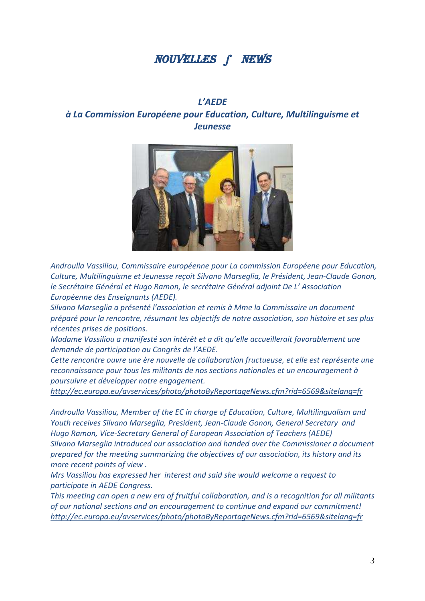# NOUVELLES ∫ NEWS

# *L'AEDE à La Commission Européene pour Education, Culture, Multilinguisme et Jeunesse*



*Androulla Vassiliou, Commissaire européenne pour La commission Européene pour Education, Culture, Multilinguisme et Jeunesse reçoit Silvano Marseglia, le Président, Jean-Claude Gonon, le Secrétaire Général et Hugo Ramon, le secrétaire Général adjoint De L' Association Européenne des Enseignants (AEDE).*

*Silvano Marseglia a présenté l'association et remis à Mme la Commissaire un document préparé pour la rencontre, résumant les objectifs de notre association, son histoire et ses plus récentes prises de positions.*

*Madame Vassiliou a manifesté son intérêt et a dit qu'elle accueillerait favorablement une demande de participation au Congrès de l'AEDE.*

*Cette rencontre ouvre une ère nouvelle de collaboration fructueuse, et elle est représente une reconnaissance pour tous les militants de nos sections nationales et un encouragement à poursuivre et développer notre engagement.*

*http://ec.europa.eu/avservices/photo/photoByReportageNews.cfm?rid=6569&sitelang=fr*

*Androulla Vassiliou, Member of the EC in charge of Education, Culture, Multilingualism and Youth receives Silvano Marseglia, President, Jean-Claude Gonon, General Secretary and Hugo Ramon, Vice-Secretary General of European Association of Teachers (AEDE) Silvano Marseglia introduced our association and handed over the Commissioner a document prepared for the meeting summarizing the objectives of our association, its history and its more recent points of view .*

*Mrs Vassiliou has expressed her interest and said she would welcome a request to participate in AEDE Congress.*

*This meeting can open a new era of fruitful collaboration, and is a recognition for all militants of our national sections and an encouragement to continue and expand our commitment! http://ec.europa.eu/avservices/photo/photoByReportageNews.cfm?rid=6569&sitelang=fr*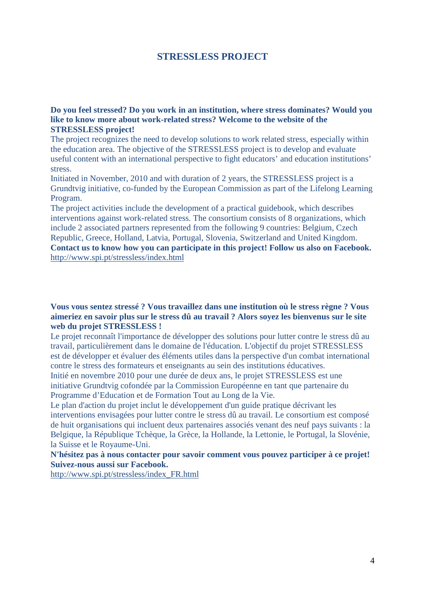## **STRESSLESS PROJECT**

**Do you feel stressed? Do you work in an institution, where stress dominates? Would you like to know more about work-related stress? Welcome to the website of the STRESSLESS project!**

The project recognizes the need to develop solutions to work related stress, especially within the education area. The objective of the STRESSLESS project is to develop and evaluate useful content with an international perspective to fight educators' and education institutions' stress.

Initiated in November, 2010 and with duration of 2 years, the STRESSLESS project is a Grundtvig initiative, co-funded by the European Commission as part of the Lifelong Learning Program.

The project activities include the development of a practical guidebook, which describes interventions against work-related stress. The consortium consists of 8 organizations, which include 2 associated partners represented from the following 9 countries: Belgium, Czech Republic, Greece, Holland, Latvia, Portugal, Slovenia, Switzerland and United Kingdom. **Contact us to know how you can participate in this project! Follow us also on Facebook.** http://www.spi.pt/stressless/index.html

**Vous vous sentez stressé ? Vous travaillez dans une institution où le stress règne ? Vous aimeriez en savoir plus sur le stress dû au travail ? Alors soyez les bienvenus sur le site web du projet STRESSLESS !**

Le projet reconnaît l'importance de développer des solutions pour lutter contre le stress dû au travail, particulièrement dans le domaine de l'éducation. L'objectif du projet STRESSLESS est de développer et évaluer des éléments utiles dans la perspective d'un combat international contre le stress des formateurs et enseignants au sein des institutions éducatives.

Initié en novembre 2010 pour une durée de deux ans, le projet STRESSLESS est une initiative Grundtvig cofondée par la Commission Européenne en tant que partenaire du Programme d'Education et de Formation Tout au Long de la Vie.

Le plan d'action du projet inclut le développement d'un guide pratique décrivant les interventions envisagées pour lutter contre le stress dû au travail. Le consortium est composé de huit organisations qui incluent deux partenaires associés venant des neuf pays suivants : la Belgique, la République Tchèque, la Grèce, la Hollande, la Lettonie, le Portugal, la Slovénie, la Suisse et le Royaume-Uni.

#### **N'hésitez pas à nous contacter pour savoir comment vous pouvez participer à ce projet! Suivez-nous aussi sur Facebook.**

http://www.spi.pt/stressless/index\_FR.html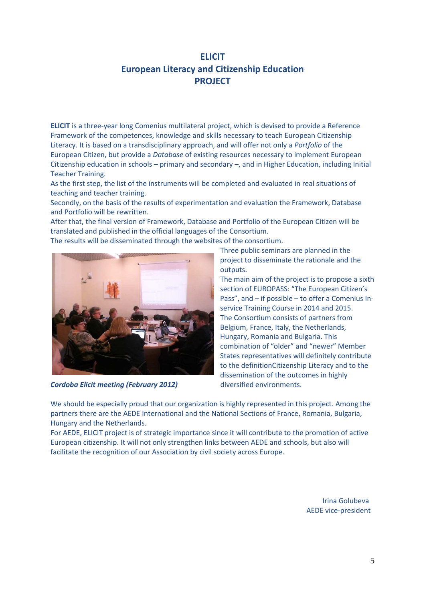# **ELICIT European Literacy and Citizenship Education PROJECT**

**ELICIT** is a three-year long Comenius multilateral project, which is devised to provide a Reference Framework of the competences, knowledge and skills necessary to teach European Citizenship Literacy. It is based on a transdisciplinary approach, and will offer not only a *Portfolio* of the European Citizen, but provide a *Database* of existing resources necessary to implement European Citizenship education in schools – primary and secondary –, and in Higher Education, including Initial Teacher Training.

As the first step, the list of the instruments will be completed and evaluated in real situations of teaching and teacher training.

Secondly, on the basis of the results of experimentation and evaluation the Framework, Database and Portfolio will be rewritten.

After that, the final version of Framework, Database and Portfolio of the European Citizen will be translated and published in the official languages of the Consortium.

The results will be disseminated through the websites of the consortium.



**Cordoba Elicit meeting (February 2012)** diversified environments.

Three public seminars are planned in the project to disseminate the rationale and the outputs.

The main aim of the project is to propose a sixth section of EUROPASS: "The European Citizen's Pass", and – if possible – to offer a Comenius Inservice Training Course in 2014 and 2015. The Consortium consists of partners from Belgium, France, Italy, the Netherlands, Hungary, Romania and Bulgaria. This combination of "older" and "newer" Member States representatives will definitely contribute to the definitionCitizenship Literacy and to the dissemination of the outcomes in highly

We should be especially proud that our organization is highly represented in this project. Among the partners there are the AEDE International and the National Sections of France, Romania, Bulgaria, Hungary and the Netherlands.

For AEDE, ELICIT project is of strategic importance since it will contribute to the promotion of active European citizenship. It will not only strengthen links between AEDE and schools, but also will facilitate the recognition of our Association by civil society across Europe.

> Irina Golubeva AEDE vice-president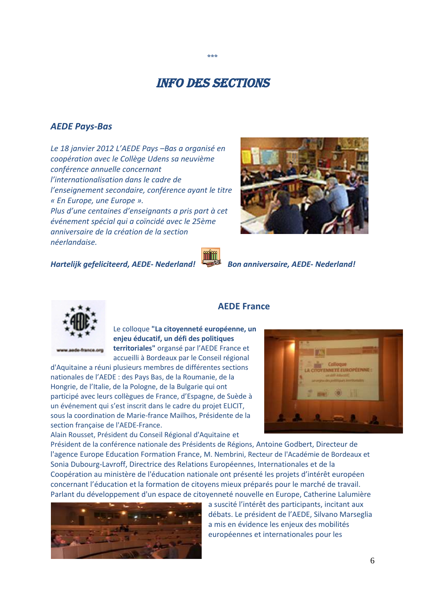# Info des sections

\*\*\*

#### *AEDE Pays-Bas*

*Le 18 janvier 2012 L'AEDE Pays –Bas a organisé en coopération avec le Collège Udens sa neuvième conférence annuelle concernant l'internationalisation dans le cadre de l'enseignement secondaire, conférence ayant le titre « En Europe, une Europe ». Plus d'une centaines d'enseignants a pris part à cet événement spécial qui a coïncidé avec le 25ème anniversaire de la création de la section*

*Hartelijk gefeliciteerd, AEDE- Nederland! Bon anniversaire, AEDE- Nederland!*



*néerlandaise.*

Le colloque **"La citoyenneté européenne, un enjeu éducatif, un défi des politiques territoriales"** organsé par l'AEDE France et

accueilli à Bordeaux par le Conseil régional d'Aquitaine a réuni plusieurs membres de différentes sections nationales de l'AEDE : des Pays Bas, de la Roumanie, de la Hongrie, de l'Italie, de la Pologne, de la Bulgarie qui ont participé avec leurs collègues de France, d'Espagne, de Suède à un événement qui s'est inscrit dans le cadre du projet ELICIT, sous la coordination de Marie-france Mailhos, Présidente de la section française de l'AEDE-France.

Alain Rousset, Président du Conseil Régional d'Aquitaine et

#### **AEDE France**



Président de la conférence nationale des Présidents de Régions, Antoine Godbert, Directeur de l'agence Europe Education Formation France, M. Nembrini, Recteur de l'Académie de Bordeaux et Sonia Dubourg-Lavroff, Directrice des Relations Européennes, Internationales et de la Coopération au ministère de l'éducation nationale ont présenté les projets d'intérêt européen concernant l'éducation et la formation de citoyens mieux préparés pour le marché de travail. Parlant du développement d'un espace de citoyenneté nouvelle en Europe, Catherine Lalumière



a suscité l'intérêt des participants, incitant aux débats. Le président de l'AEDE, Silvano Marseglia a mis en évidence les enjeux des mobilités européennes et internationales pour les

6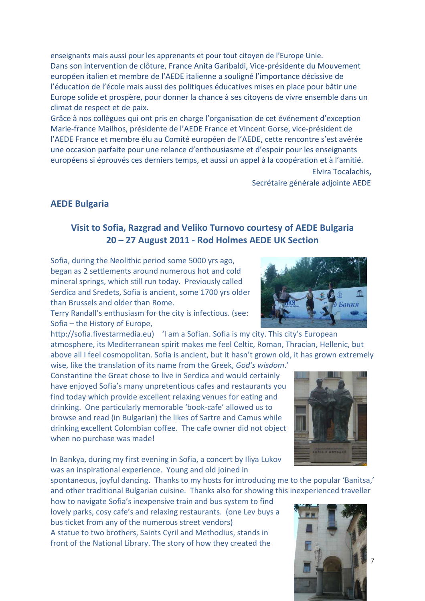enseignants mais aussi pour les apprenants et pour tout citoyen de l'Europe Unie. Dans son intervention de clôture, France Anita Garibaldi, Vice-présidente du Mouvement européen italien et membre de l'AEDE italienne a souligné l'importance décissive de l'éducation de l'école mais aussi des politiques éducatives mises en place pour bâtir une Europe solide et prospère, pour donner la chance à ses citoyens de vivre ensemble dans un climat de respect et de paix.

Grâce à nos collègues qui ont pris en charge l'organisation de cet événement d'exception Marie-france Mailhos, présidente de l'AEDE France et Vincent Gorse, vice-président de l'AEDE France et membre élu au Comité européen de l'AEDE, cette rencontre s'est avérée une occasion parfaite pour une relance d'enthousiasme et d'espoir pour les enseignants européens si éprouvés ces derniers temps, et aussi un appel à la coopération et à l'amitié.

> Elvira Tocalachis, Secrétaire générale adjointe AEDE

### **AEDE Bulgaria**

### **Visit to Sofia, Razgrad and Veliko Turnovo courtesy of AEDE Bulgaria 20 – 27 August 2011 - Rod Holmes AEDE UK Section**

Sofia, during the Neolithic period some 5000 yrs ago, began as 2 settlements around numerous hot and cold mineral springs, which still run today. Previously called Serdica and Sredets, Sofia is ancient, some 1700 yrs older than Brussels and older than Rome.

Terry Randall's enthusiasm for the city is infectious. (see: Sofia – the History of Europe,

http://sofia.fivestarmedia.eu) 'I am a Sofian. Sofia is my city. This city's European atmosphere, its Mediterranean spirit makes me feel Celtic, Roman, Thracian, Hellenic, but above all I feel cosmopolitan. Sofia is ancient, but it hasn't grown old, it has grown extremely

wise, like the translation of its name from the Greek, *God's wisdom*.' Constantine the Great chose to live in Serdica and would certainly have enjoyed Sofia's many unpretentious cafes and restaurants you find today which provide excellent relaxing venues for eating and drinking. One particularly memorable 'book-cafe' allowed us to browse and read (in Bulgarian) the likes of Sartre and Camus while drinking excellent Colombian coffee. The cafe owner did not object when no purchase was made!

In Bankya, during my first evening in Sofia, a concert by Iliya Lukov was an inspirational experience. Young and old joined in

spontaneous, joyful dancing. Thanks to my hosts for introducing me to the popular 'Banitsa,' and other traditional Bulgarian cuisine. Thanks also for showing this inexperienced traveller

how to navigate Sofia's inexpensive train and bus system to find lovely parks, cosy cafe's and relaxing restaurants. (one Lev buys a bus ticket from any of the numerous street vendors) A statue to two brothers, Saints Cyril and Methodius, stands in front of the National Library. The story of how they created the







7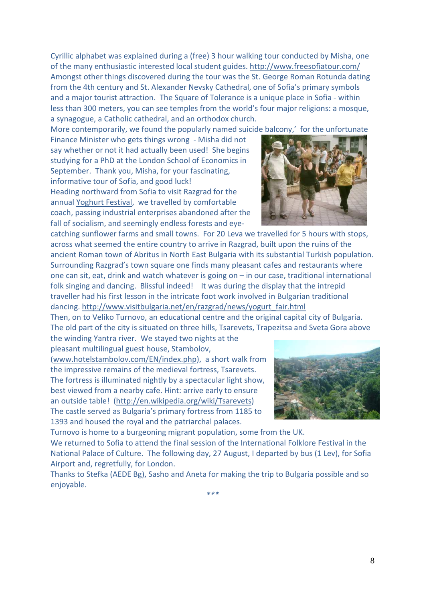Cyrillic alphabet was explained during a (free) 3 hour walking tour conducted by Misha, one of the many enthusiastic interested local student guides. http://www.freesofiatour.com/ Amongst other things discovered during the tour was the St. George Roman Rotunda dating from the 4th century and St. Alexander Nevsky Cathedral, one of Sofia's primary symbols and a major tourist attraction. The Square of Tolerance is a unique place in Sofia - within less than 300 meters, you can see temples from the world's four major religions: a mosque, a synagogue, a Catholic cathedral, and an orthodox church.

More contemporarily, we found the popularly named suicide balcony,' for the unfortunate

Finance Minister who gets things wrong - Misha did not say whether or not it had actually been used! She begins studying for a PhD at the London School of Economics in September. Thank you, Misha, for your fascinating, informative tour of Sofia, and good luck! Heading northward from Sofia to visit Razgrad for the annual Yoghurt Festival, we travelled by comfortable coach, passing industrial enterprises abandoned after the fall of socialism, and seemingly endless forests and eye-

catching sunflower farms and small towns. For 20 Leva we travelled for 5 hours with stops, across what seemed the entire country to arrive in Razgrad, built upon the ruins of the ancient Roman town of Abritus in North East Bulgaria with its substantial Turkish population. Surrounding Razgrad's town square one finds many pleasant cafes and restaurants where one can sit, eat, drink and watch whatever is going on – in our case, traditional international folk singing and dancing. Blissful indeed! It was during the display that the intrepid traveller had his first lesson in the intricate foot work involved in Bulgarian traditional dancing. http://www.visitbulgaria.net/en/razgrad/news/yogurt\_fair.html

Then, on to Veliko Turnovo, an educational centre and the original capital city of Bulgaria. The old part of the city is situated on three hills, Tsarevets, Trapezitsa and Sveta Gora above

the winding Yantra river. We stayed two nights at the pleasant multilingual guest house, Stambolov,

(www.hotelstambolov.com/EN/index.php), a short walk from the impressive remains of the medieval fortress, Tsarevets. The fortress is illuminated nightly by a spectacular light show, best viewed from a nearby cafe. Hint: arrive early to ensure an outside table! (http://en.wikipedia.org/wiki/Tsarevets) The castle served as Bulgaria's primary fortress from 1185 to 1393 and housed the royal and the patriarchal palaces.

Turnovo is home to a burgeoning migrant population, some from the UK. We returned to Sofia to attend the final session of the International Folklore Festival in the National Palace of Culture. The following day, 27 August, I departed by bus (1 Lev), for Sofia Airport and, regretfully, for London.

Thanks to Stefka (AEDE Bg), Sasho and Aneta for making the trip to Bulgaria possible and so enjoyable.



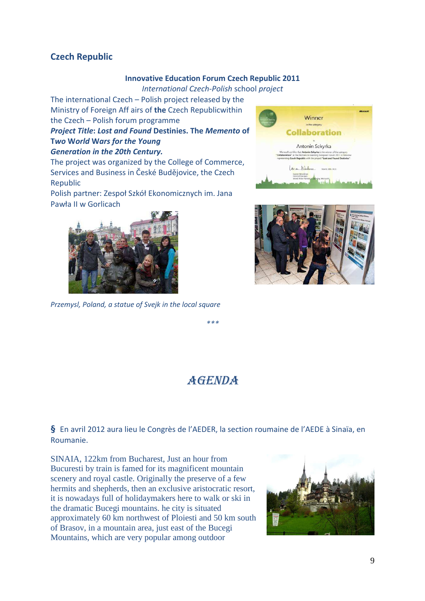## **Czech Republic**

#### **Innovative Education Forum Czech Republic 2011**

*International Czech-Polish* school *project*

The international Czech – Polish project released by the Ministry of Foreign Aff airs of **the** Czech Republicwithin the Czech – Polish forum programme

## *Project Title***:** *Lost and Found* **Destinies. The** *Memento* **of T***wo* **W***orld* **W***ars for the Young*

#### *Generation in the 20th Century.*

The project was organized by the College of Commerce, Services and Business in České Budějovice, the Czech Republic

Polish partner: Zespoł Szkół Ekonomicznych im. Jana Pawła II w Gorlicach



*Przemysl, Poland, a statue of Svejk in the local square*





*\*\*\**

# **AGENDA**

**§** En avril 2012 aura lieu le Congrès de l'AEDER, la section roumaine de l'AEDE à Sinaïa, en Roumanie.

SINAIA, 122km from Bucharest, Just an hour from Bucuresti by train is famed for its magnificent mountain scenery and royal castle. Originally the preserve of a few hermits and shepherds, then an exclusive aristocratic resort, it is nowadays full of holidaymakers here to walk or ski in the dramatic Bucegi mountains. he city is situated approximately 60 km northwest of Ploiesti and 50 km south of Brasov, in a mountain area, just east of the Bucegi Mountains, which are very popular among outdoor

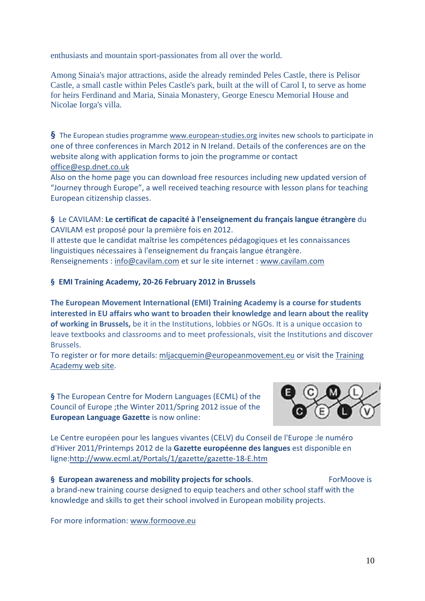enthusiasts and mountain sport-passionates from all over the world.

Among Sinaia's major attractions, aside the already reminded Peles Castle, there is Pelisor Castle, a small castle within Peles Castle's park, built at the will of Carol I, to serve as home for heirs Ferdinand and Maria, Sinaia Monastery, George Enescu Memorial House and Nicolae Iorga's villa.

**§** The European studies programme www.european-studies.org invites new schools to participate in one of three conferences in March 2012 in N Ireland. Details of the conferences are on the website along with application forms to join the programme or contact office@esp.dnet.co.uk

Also on the home page you can download free resources including new updated version of "Journey through Europe", a well received teaching resource with lesson plans for teaching European citizenship classes.

#### **§** Le CAVILAM: **Le certificat de capacité à l'enseignement du français langue étrangère** du CAVILAM est proposé pour la première fois en 2012.

Il atteste que le candidat maîtrise les compétences pédagogiques et les connaissances linguistiques nécessaires à l'enseignement du français langue étrangère. Renseignements : info@cavilam.com et sur le site internet : www.cavilam.com

#### **§ EMI Training Academy, 20-26 February 2012 in Brussels**

**The European Movement International (EMI) Training Academy is a course for students interested in EU affairs who want to broaden their knowledge and learn about the reality of working in Brussels,** be it in the Institutions, lobbies or NGOs. It is a unique occasion to leave textbooks and classrooms and to meet professionals, visit the Institutions and discover Brussels.

To register or for more details: mljacquemin@europeanmovement.eu or visit the Training Academy web site.

**§** The European Centre for Modern Languages (ECML) of the Council of Europe ;the Winter 2011/Spring 2012 issue of the **European Language Gazette** is now online:



Le Centre européen pour les langues vivantes (CELV) du Conseil de l'Europe :le numéro d'Hiver 2011/Printemps 2012 de la **Gazette européenne des langues** est disponible en ligne:http://www.ecml.at/Portals/1/gazette/gazette-18-E.htm

**§ European awareness and mobility projects for schools.** ForMoove is a brand-new training course designed to equip teachers and other school staff with the knowledge and skills to get their school involved in European mobility projects.

For more information: www.formoove.eu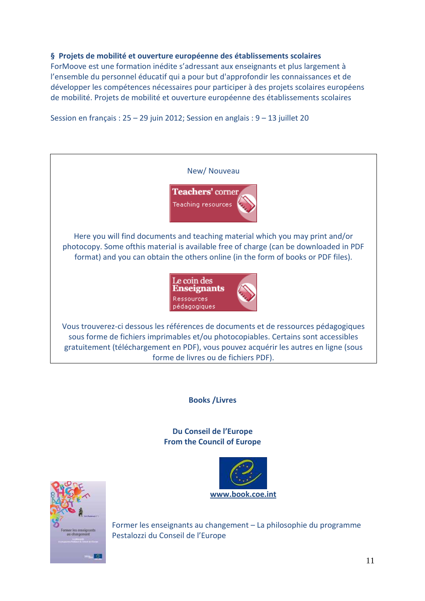#### **§ Projets de mobilité et ouverture européenne des établissements scolaires**

ForMoove est une formation inédite s'adressant aux enseignants et plus largement à l'ensemble du personnel éducatif qui a pour but d'approfondir les connaissances et de développer les compétences nécessaires pour participer à des projets scolaires européens de mobilité. Projets de mobilité et ouverture européenne des établissements scolaires

Session en français : 25 – 29 juin 2012; Session en anglais : 9 – 13 juillet 20



**Books /Livres**

**Du Conseil de l'Europe From the Council of Europe**





Former les enseignants au changement – La philosophie du programme Pestalozzi du Conseil de l'Europe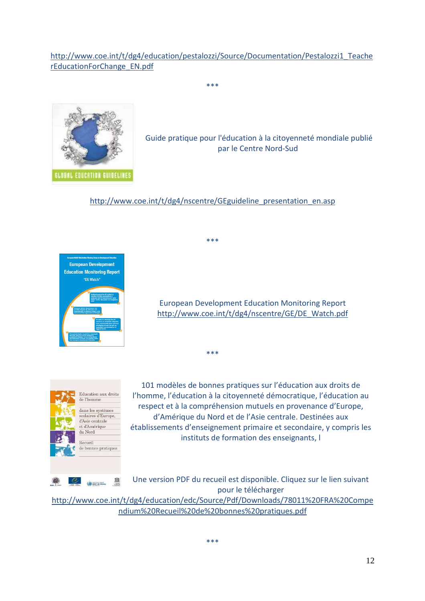http://www.coe.int/t/dg4/education/pestalozzi/Source/Documentation/Pestalozzi1\_Teache rEducationForChange\_EN.pdf

\*\*\*



Guide pratique pour l'éducation à la citoyenneté mondiale publié par le Centre Nord-Sud

http://www.coe.int/t/dg4/nscentre/GEguideline\_presentation\_en.asp

\*\*\*

\*\*\*



European Development Education Monitoring Report http://www.coe.int/t/dg4/nscentre/GE/DE\_Watch.pdf



101 modèles de bonnes pratiques sur l'éducation aux droits de l'homme, l'éducation à la citoyenneté démocratique, l'éducation au respect et à la compréhension mutuels en provenance d'Europe, d'Amérique du Nord et de l'Asie centrale. Destinées aux établissements d'enseignement primaire et secondaire, y compris les instituts de formation des enseignants, l

Une version PDF du recueil est disponible. Cliquez sur le lien suivant pour le télécharger

http://www.coe.int/t/dg4/education/edc/Source/Pdf/Downloads/78011%20FRA%20Compe ndium%20Recueil%20de%20bonnes%20pratiques.pdf